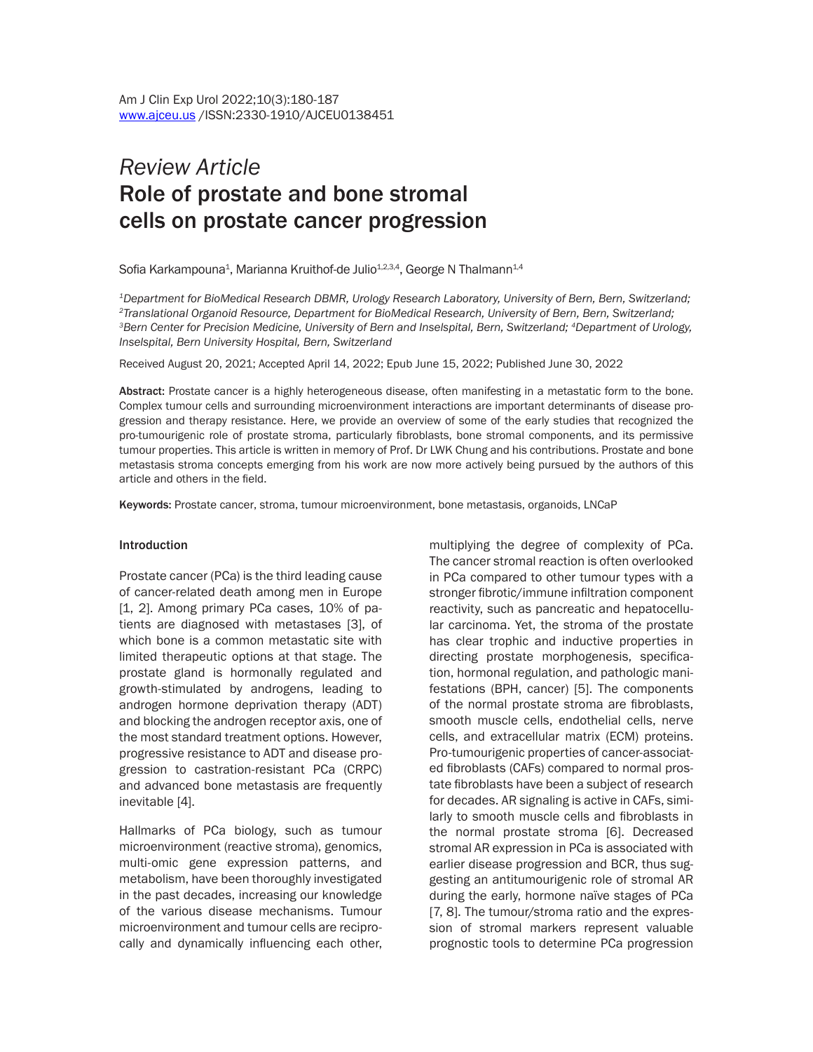# *Review Article* Role of prostate and bone stromal cells on prostate cancer progression

Sofia Karkampouna $^{\text{1}}$ , Marianna Kruithof-de Julio $^{\text{1,2,3,4}}$ , George N Thalmann $^{\text{1,4}}$ 

*1Department for BioMedical Research DBMR, Urology Research Laboratory, University of Bern, Bern, Switzerland; 2Translational Organoid Resource, Department for BioMedical Research, University of Bern, Bern, Switzerland; 3Bern Center for Precision Medicine, University of Bern and Inselspital, Bern, Switzerland; 4Department of Urology, Inselspital, Bern University Hospital, Bern, Switzerland*

Received August 20, 2021; Accepted April 14, 2022; Epub June 15, 2022; Published June 30, 2022

Abstract: Prostate cancer is a highly heterogeneous disease, often manifesting in a metastatic form to the bone. Complex tumour cells and surrounding microenvironment interactions are important determinants of disease progression and therapy resistance. Here, we provide an overview of some of the early studies that recognized the pro-tumourigenic role of prostate stroma, particularly fibroblasts, bone stromal components, and its permissive tumour properties. This article is written in memory of Prof. Dr LWK Chung and his contributions. Prostate and bone metastasis stroma concepts emerging from his work are now more actively being pursued by the authors of this article and others in the field.

Keywords: Prostate cancer, stroma, tumour microenvironment, bone metastasis, organoids, LNCaP

#### Introduction

Prostate cancer (PCa) is the third leading cause of cancer-related death among men in Europe [1, 2]. Among primary PCa cases, 10% of patients are diagnosed with metastases [3], of which bone is a common metastatic site with limited therapeutic options at that stage. The prostate gland is hormonally regulated and growth-stimulated by androgens, leading to androgen hormone deprivation therapy (ADT) and blocking the androgen receptor axis, one of the most standard treatment options. However, progressive resistance to ADT and disease progression to castration-resistant PCa (CRPC) and advanced bone metastasis are frequently inevitable [4].

Hallmarks of PCa biology, such as tumour microenvironment (reactive stroma), genomics, multi-omic gene expression patterns, and metabolism, have been thoroughly investigated in the past decades, increasing our knowledge of the various disease mechanisms. Tumour microenvironment and tumour cells are reciprocally and dynamically influencing each other, multiplying the degree of complexity of PCa. The cancer stromal reaction is often overlooked in PCa compared to other tumour types with a stronger fibrotic/immune infiltration component reactivity, such as pancreatic and hepatocellular carcinoma. Yet, the stroma of the prostate has clear trophic and inductive properties in directing prostate morphogenesis, specification, hormonal regulation, and pathologic manifestations (BPH, cancer) [5]. The components of the normal prostate stroma are fibroblasts, smooth muscle cells, endothelial cells, nerve cells, and extracellular matrix (ECM) proteins. Pro-tumourigenic properties of cancer-associated fibroblasts (CAFs) compared to normal prostate fibroblasts have been a subject of research for decades. AR signaling is active in CAFs, similarly to smooth muscle cells and fibroblasts in the normal prostate stroma [6]. Decreased stromal AR expression in PCa is associated with earlier disease progression and BCR, thus suggesting an antitumourigenic role of stromal AR during the early, hormone naïve stages of PCa [7, 8]. The tumour/stroma ratio and the expression of stromal markers represent valuable prognostic tools to determine PCa progression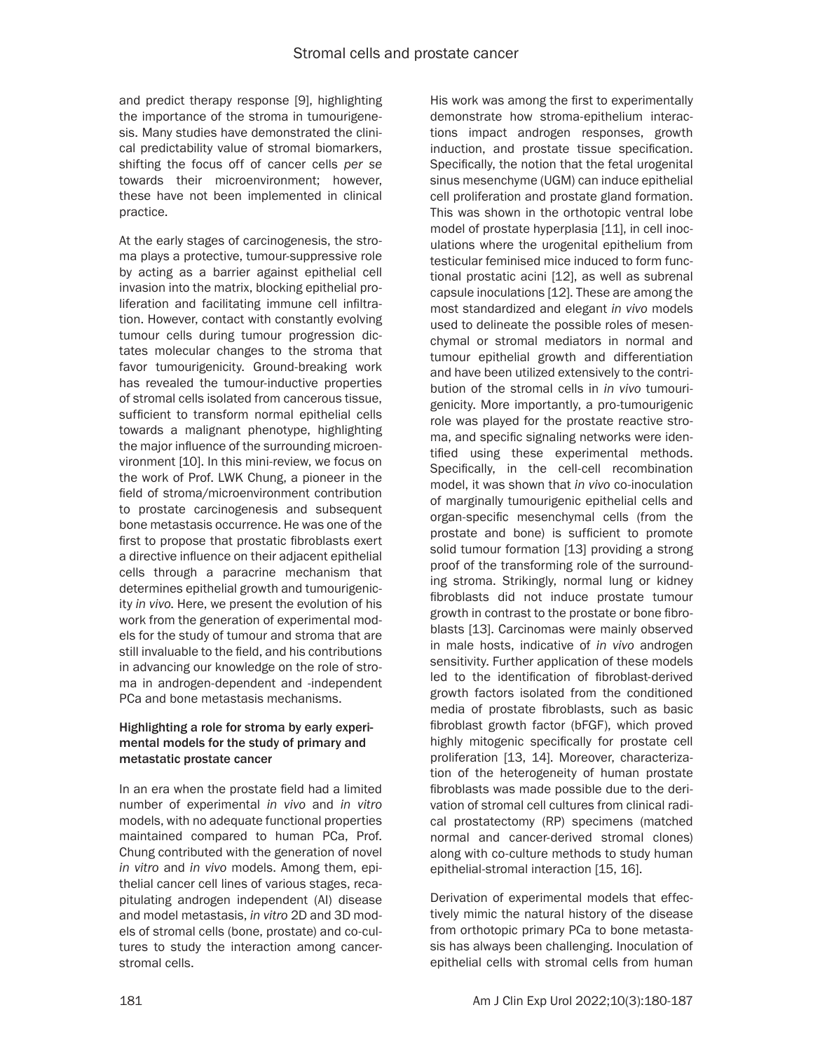and predict therapy response [9], highlighting the importance of the stroma in tumourigenesis. Many studies have demonstrated the clinical predictability value of stromal biomarkers, shifting the focus off of cancer cells *per se*  towards their microenvironment; however, these have not been implemented in clinical practice.

At the early stages of carcinogenesis, the stroma plays a protective, tumour-suppressive role by acting as a barrier against epithelial cell invasion into the matrix, blocking epithelial proliferation and facilitating immune cell infiltration. However, contact with constantly evolving tumour cells during tumour progression dictates molecular changes to the stroma that favor tumourigenicity. Ground-breaking work has revealed the tumour-inductive properties of stromal cells isolated from cancerous tissue, sufficient to transform normal epithelial cells towards a malignant phenotype, highlighting the major influence of the surrounding microenvironment [10]. In this mini-review, we focus on the work of Prof. LWK Chung, a pioneer in the field of stroma/microenvironment contribution to prostate carcinogenesis and subsequent bone metastasis occurrence. He was one of the first to propose that prostatic fibroblasts exert a directive influence on their adjacent epithelial cells through a paracrine mechanism that determines epithelial growth and tumourigenicity *in vivo*. Here, we present the evolution of his work from the generation of experimental models for the study of tumour and stroma that are still invaluable to the field, and his contributions in advancing our knowledge on the role of stroma in androgen-dependent and -independent PCa and bone metastasis mechanisms.

## Highlighting a role for stroma by early experimental models for the study of primary and metastatic prostate cancer

In an era when the prostate field had a limited number of experimental *in vivo* and *in vitro* models, with no adequate functional properties maintained compared to human PCa, Prof. Chung contributed with the generation of novel *in vitro* and *in vivo* models. Among them, epithelial cancer cell lines of various stages, recapitulating androgen independent (AI) disease and model metastasis, *in vitro* 2D and 3D models of stromal cells (bone, prostate) and co-cultures to study the interaction among cancerstromal cells.

His work was among the first to experimentally demonstrate how stroma-epithelium interactions impact androgen responses, growth induction, and prostate tissue specification. Specifically, the notion that the fetal urogenital sinus mesenchyme (UGM) can induce epithelial cell proliferation and prostate gland formation. This was shown in the orthotopic ventral lobe model of prostate hyperplasia [11], in cell inoculations where the urogenital epithelium from testicular feminised mice induced to form functional prostatic acini [12], as well as subrenal capsule inoculations [12]. These are among the most standardized and elegant *in vivo* models used to delineate the possible roles of mesenchymal or stromal mediators in normal and tumour epithelial growth and differentiation and have been utilized extensively to the contribution of the stromal cells in *in vivo* tumourigenicity. More importantly, a pro-tumourigenic role was played for the prostate reactive stroma, and specific signaling networks were identified using these experimental methods. Specifically, in the cell-cell recombination model, it was shown that *in vivo* co-inoculation of marginally tumourigenic epithelial cells and organ-specific mesenchymal cells (from the prostate and bone) is sufficient to promote solid tumour formation [13] providing a strong proof of the transforming role of the surrounding stroma. Strikingly, normal lung or kidney fibroblasts did not induce prostate tumour growth in contrast to the prostate or bone fibroblasts [13]. Carcinomas were mainly observed in male hosts, indicative of *in vivo* androgen sensitivity. Further application of these models led to the identification of fibroblast-derived growth factors isolated from the conditioned media of prostate fibroblasts, such as basic fibroblast growth factor (bFGF), which proved highly mitogenic specifically for prostate cell proliferation [13, 14]. Moreover, characterization of the heterogeneity of human prostate fibroblasts was made possible due to the derivation of stromal cell cultures from clinical radical prostatectomy (RP) specimens (matched normal and cancer-derived stromal clones) along with co-culture methods to study human epithelial-stromal interaction [15, 16].

Derivation of experimental models that effectively mimic the natural history of the disease from orthotopic primary PCa to bone metastasis has always been challenging. Inoculation of epithelial cells with stromal cells from human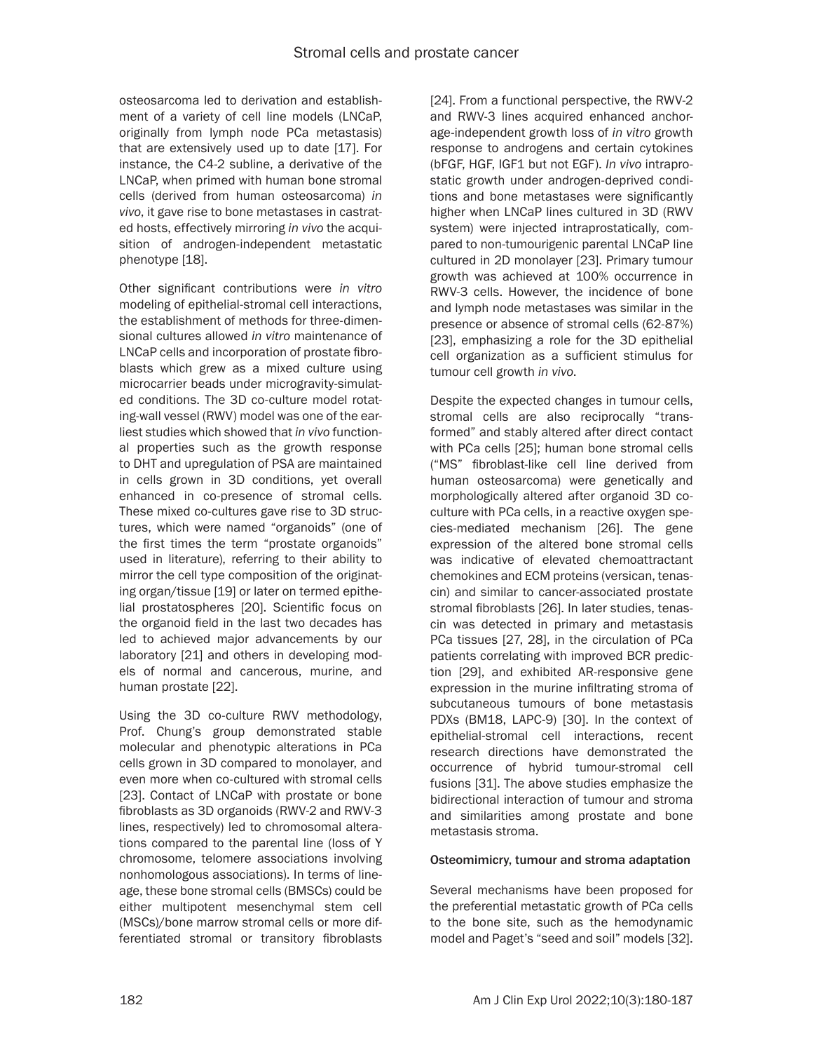osteosarcoma led to derivation and establishment of a variety of cell line models (LNCaP, originally from lymph node PCa metastasis) that are extensively used up to date [17]. For instance, the C4-2 subline, a derivative of the LNCaP, when primed with human bone stromal cells (derived from human osteosarcoma) *in vivo*, it gave rise to bone metastases in castrated hosts, effectively mirroring *in vivo* the acquisition of androgen-independent metastatic phenotype [18].

Other significant contributions were *in vitro* modeling of epithelial-stromal cell interactions, the establishment of methods for three-dimensional cultures allowed *in vitro* maintenance of LNCaP cells and incorporation of prostate fibroblasts which grew as a mixed culture using microcarrier beads under microgravity-simulated conditions. The 3D co-culture model rotating-wall vessel (RWV) model was one of the earliest studies which showed that *in vivo* functional properties such as the growth response to DHT and upregulation of PSA are maintained in cells grown in 3D conditions, yet overall enhanced in co-presence of stromal cells. These mixed co-cultures gave rise to 3D structures, which were named "organoids" (one of the first times the term "prostate organoids" used in literature), referring to their ability to mirror the cell type composition of the originating organ/tissue [19] or later on termed epithelial prostatospheres [20]. Scientific focus on the organoid field in the last two decades has led to achieved major advancements by our laboratory [21] and others in developing models of normal and cancerous, murine, and human prostate [22].

Using the 3D co-culture RWV methodology, Prof. Chung's group demonstrated stable molecular and phenotypic alterations in PCa cells grown in 3D compared to monolayer, and even more when co-cultured with stromal cells [23]. Contact of LNCaP with prostate or bone fibroblasts as 3D organoids (RWV-2 and RWV-3 lines, respectively) led to chromosomal alterations compared to the parental line (loss of Y chromosome, telomere associations involving nonhomologous associations). In terms of lineage, these bone stromal cells (BMSCs) could be either multipotent mesenchymal stem cell (MSCs)/bone marrow stromal cells or more differentiated stromal or transitory fibroblasts

[24]. From a functional perspective, the RWV-2 and RWV-3 lines acquired enhanced anchorage-independent growth loss of *in vitro* growth response to androgens and certain cytokines (bFGF, HGF, IGF1 but not EGF). *In vivo* intraprostatic growth under androgen-deprived conditions and bone metastases were significantly higher when LNCaP lines cultured in 3D (RWV system) were injected intraprostatically, compared to non-tumourigenic parental LNCaP line cultured in 2D monolayer [23]. Primary tumour growth was achieved at 100% occurrence in RWV-3 cells. However, the incidence of bone and lymph node metastases was similar in the presence or absence of stromal cells (62-87%) [23], emphasizing a role for the 3D epithelial cell organization as a sufficient stimulus for tumour cell growth *in vivo*.

Despite the expected changes in tumour cells, stromal cells are also reciprocally "transformed" and stably altered after direct contact with PCa cells [25]; human bone stromal cells ("MS" fibroblast-like cell line derived from human osteosarcoma) were genetically and morphologically altered after organoid 3D coculture with PCa cells, in a reactive oxygen species-mediated mechanism [26]. The gene expression of the altered bone stromal cells was indicative of elevated chemoattractant chemokines and ECM proteins (versican, tenascin) and similar to cancer-associated prostate stromal fibroblasts [26]. In later studies, tenascin was detected in primary and metastasis PCa tissues [27, 28], in the circulation of PCa patients correlating with improved BCR prediction [29], and exhibited AR-responsive gene expression in the murine infiltrating stroma of subcutaneous tumours of bone metastasis PDXs (BM18, LAPC-9) [30]. In the context of epithelial-stromal cell interactions, recent research directions have demonstrated the occurrence of hybrid tumour-stromal cell fusions [31]. The above studies emphasize the bidirectional interaction of tumour and stroma and similarities among prostate and bone metastasis stroma.

# Osteomimicry, tumour and stroma adaptation

Several mechanisms have been proposed for the preferential metastatic growth of PCa cells to the bone site, such as the hemodynamic model and Paget's "seed and soil" models [32].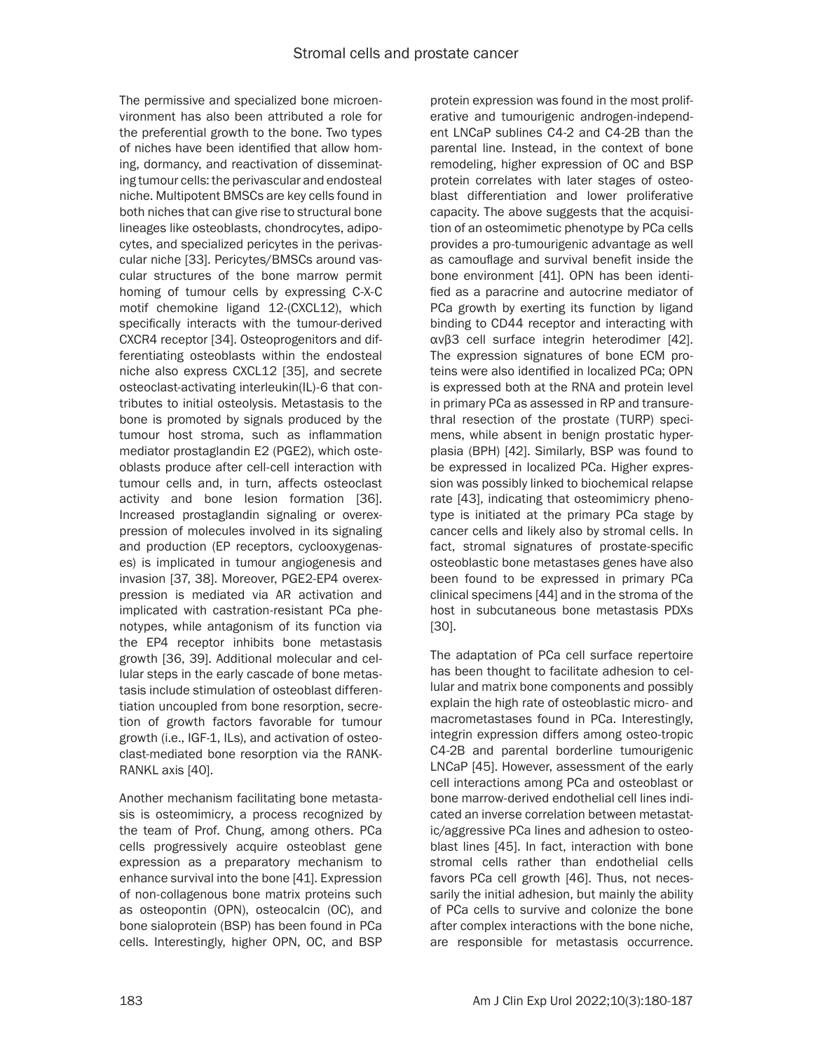The permissive and specialized bone microenvironment has also been attributed a role for the preferential growth to the bone. Two types of niches have been identified that allow homing, dormancy, and reactivation of disseminating tumour cells: the perivascular and endosteal niche. Multipotent BMSCs are key cells found in both niches that can give rise to structural bone lineages like osteoblasts, chondrocytes, adipocytes, and specialized pericytes in the perivascular niche [33]. Pericytes/BMSCs around vascular structures of the bone marrow permit homing of tumour cells by expressing C-X-C motif chemokine ligand 12-(CXCL12), which specifically interacts with the tumour-derived CXCR4 receptor [34]. Osteoprogenitors and differentiating osteoblasts within the endosteal niche also express CXCL12 [35], and secrete osteoclast-activating interleukin(IL)-6 that contributes to initial osteolysis. Metastasis to the bone is promoted by signals produced by the tumour host stroma, such as inflammation mediator prostaglandin E2 (PGE2), which osteoblasts produce after cell-cell interaction with tumour cells and, in turn, affects osteoclast activity and bone lesion formation [36]. Increased prostaglandin signaling or overexpression of molecules involved in its signaling and production (EP receptors, cyclooxygenases) is implicated in tumour angiogenesis and invasion [37, 38]. Moreover, PGE2-EP4 overexpression is mediated via AR activation and implicated with castration-resistant PCa phenotypes, while antagonism of its function via the EP4 receptor inhibits bone metastasis growth [36, 39]. Additional molecular and cellular steps in the early cascade of bone metastasis include stimulation of osteoblast differentiation uncoupled from bone resorption, secretion of growth factors favorable for tumour growth (i.e., IGF-1, ILs), and activation of osteoclast-mediated bone resorption via the RANK-RANKL axis [40].

Another mechanism facilitating bone metastasis is osteomimicry, a process recognized by the team of Prof. Chung, among others. PCa cells progressively acquire osteoblast gene expression as a preparatory mechanism to enhance survival into the bone [41]. Expression of non-collagenous bone matrix proteins such as osteopontin (OPN), osteocalcin (OC), and bone sialoprotein (BSP) has been found in PCa cells. Interestingly, higher OPN, OC, and BSP

protein expression was found in the most proliferative and tumourigenic androgen-independent LNCaP sublines C4-2 and C4-2B than the parental line. Instead, in the context of bone remodeling, higher expression of OC and BSP protein correlates with later stages of osteoblast differentiation and lower proliferative capacity. The above suggests that the acquisition of an osteomimetic phenotype by PCa cells provides a pro-tumourigenic advantage as well as camouflage and survival benefit inside the bone environment [41]. OPN has been identified as a paracrine and autocrine mediator of PCa growth by exerting its function by ligand binding to CD44 receptor and interacting with αvβ3 cell surface integrin heterodimer [42]. The expression signatures of bone ECM proteins were also identified in localized PCa; OPN is expressed both at the RNA and protein level in primary PCa as assessed in RP and transurethral resection of the prostate (TURP) specimens, while absent in benign prostatic hyperplasia (BPH) [42]. Similarly, BSP was found to be expressed in localized PCa. Higher expression was possibly linked to biochemical relapse rate [43], indicating that osteomimicry phenotype is initiated at the primary PCa stage by cancer cells and likely also by stromal cells. In fact, stromal signatures of prostate-specific osteoblastic bone metastases genes have also been found to be expressed in primary PCa clinical specimens [44] and in the stroma of the host in subcutaneous bone metastasis PDXs [30].

The adaptation of PCa cell surface repertoire has been thought to facilitate adhesion to cellular and matrix bone components and possibly explain the high rate of osteoblastic micro- and macrometastases found in PCa. Interestingly, integrin expression differs among osteo-tropic C4-2B and parental borderline tumourigenic LNCaP [45]. However, assessment of the early cell interactions among PCa and osteoblast or bone marrow-derived endothelial cell lines indicated an inverse correlation between metastatic/aggressive PCa lines and adhesion to osteoblast lines [45]. In fact, interaction with bone stromal cells rather than endothelial cells favors PCa cell growth [46]. Thus, not necessarily the initial adhesion, but mainly the ability of PCa cells to survive and colonize the bone after complex interactions with the bone niche, are responsible for metastasis occurrence.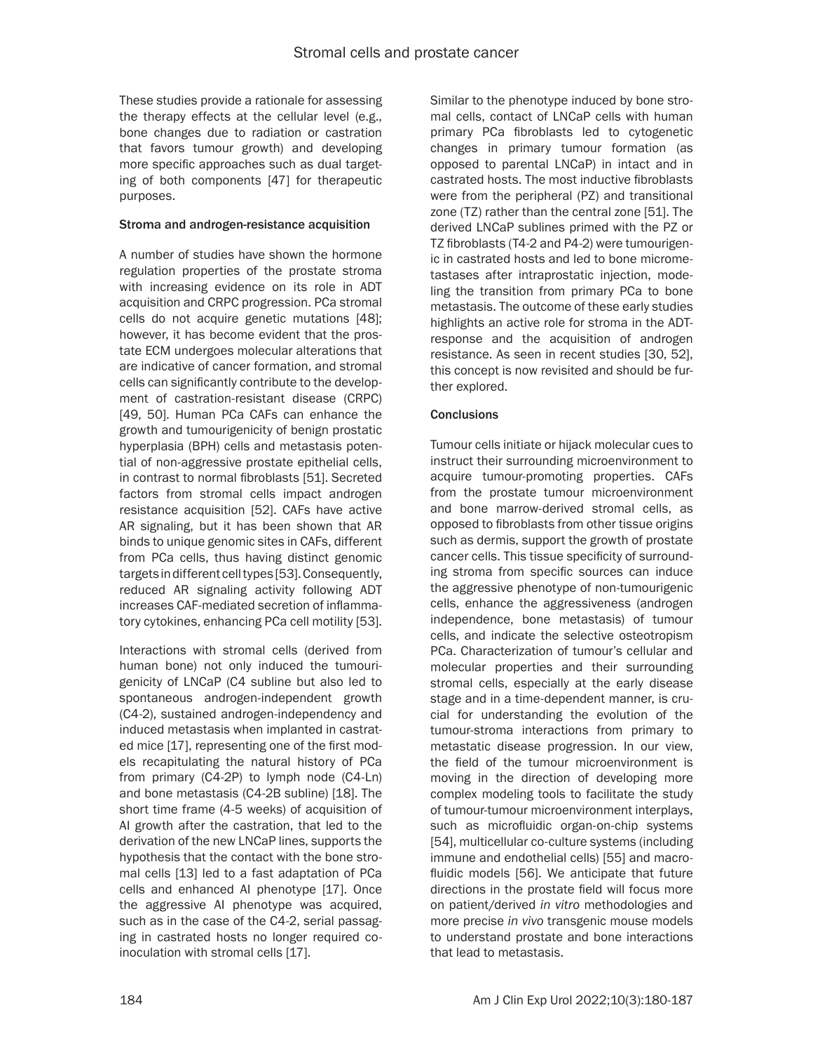These studies provide a rationale for assessing the therapy effects at the cellular level (e.g., bone changes due to radiation or castration that favors tumour growth) and developing more specific approaches such as dual targeting of both components [47] for therapeutic purposes.

## Stroma and androgen-resistance acquisition

A number of studies have shown the hormone regulation properties of the prostate stroma with increasing evidence on its role in ADT acquisition and CRPC progression. PCa stromal cells do not acquire genetic mutations [48]; however, it has become evident that the prostate ECM undergoes molecular alterations that are indicative of cancer formation, and stromal cells can significantly contribute to the development of castration-resistant disease (CRPC) [49, 50]. Human PCa CAFs can enhance the growth and tumourigenicity of benign prostatic hyperplasia (BPH) cells and metastasis potential of non-aggressive prostate epithelial cells, in contrast to normal fibroblasts [51]. Secreted factors from stromal cells impact androgen resistance acquisition [52]. CAFs have active AR signaling, but it has been shown that AR binds to unique genomic sites in CAFs, different from PCa cells, thus having distinct genomic targets in different cell types [53]. Consequently, reduced AR signaling activity following ADT increases CAF-mediated secretion of inflammatory cytokines, enhancing PCa cell motility [53].

Interactions with stromal cells (derived from human bone) not only induced the tumourigenicity of LNCaP (C4 subline but also led to spontaneous androgen-independent growth (C4-2), sustained androgen-independency and induced metastasis when implanted in castrated mice [17], representing one of the first models recapitulating the natural history of PCa from primary (C4-2P) to lymph node (C4-Ln) and bone metastasis (C4-2B subline) [18]. The short time frame (4-5 weeks) of acquisition of AI growth after the castration, that led to the derivation of the new LNCaP lines, supports the hypothesis that the contact with the bone stromal cells [13] led to a fast adaptation of PCa cells and enhanced AI phenotype [17]. Once the aggressive AI phenotype was acquired, such as in the case of the C4-2, serial passaging in castrated hosts no longer required coinoculation with stromal cells [17].

Similar to the phenotype induced by bone stromal cells, contact of LNCaP cells with human primary PCa fibroblasts led to cytogenetic changes in primary tumour formation (as opposed to parental LNCaP) in intact and in castrated hosts. The most inductive fibroblasts were from the peripheral (PZ) and transitional zone (TZ) rather than the central zone [51]. The derived LNCaP sublines primed with the PZ or TZ fibroblasts (T4-2 and P4-2) were tumourigenic in castrated hosts and led to bone micrometastases after intraprostatic injection, modeling the transition from primary PCa to bone metastasis. The outcome of these early studies highlights an active role for stroma in the ADTresponse and the acquisition of androgen resistance. As seen in recent studies [30, 52], this concept is now revisited and should be further explored.

# **Conclusions**

Tumour cells initiate or hijack molecular cues to instruct their surrounding microenvironment to acquire tumour-promoting properties. CAFs from the prostate tumour microenvironment and bone marrow-derived stromal cells, as opposed to fibroblasts from other tissue origins such as dermis, support the growth of prostate cancer cells. This tissue specificity of surrounding stroma from specific sources can induce the aggressive phenotype of non-tumourigenic cells, enhance the aggressiveness (androgen independence, bone metastasis) of tumour cells, and indicate the selective osteotropism PCa. Characterization of tumour's cellular and molecular properties and their surrounding stromal cells, especially at the early disease stage and in a time-dependent manner, is crucial for understanding the evolution of the tumour-stroma interactions from primary to metastatic disease progression. In our view, the field of the tumour microenvironment is moving in the direction of developing more complex modeling tools to facilitate the study of tumour-tumour microenvironment interplays, such as microfluidic organ-on-chip systems [54], multicellular co-culture systems (including immune and endothelial cells) [55] and macrofluidic models [56]. We anticipate that future directions in the prostate field will focus more on patient/derived *in vitro* methodologies and more precise *in vivo* transgenic mouse models to understand prostate and bone interactions that lead to metastasis.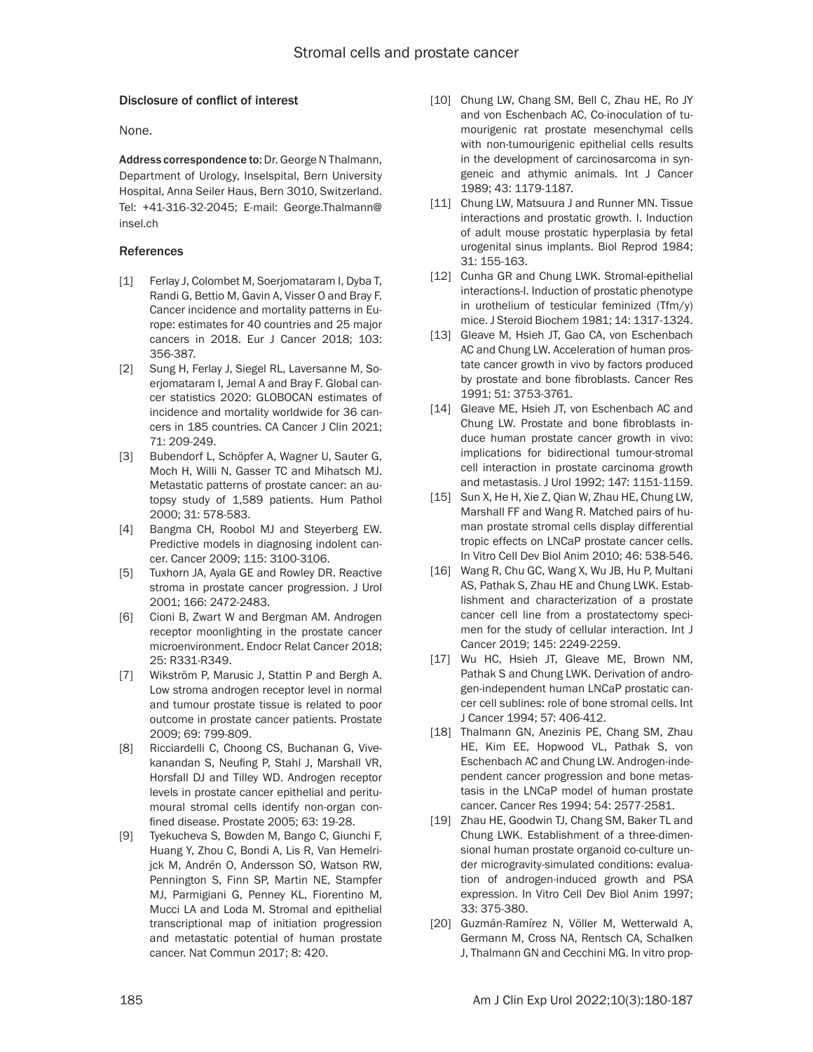### Disclosure of conflict of interest

None.

Address correspondence to: Dr. George N Thalmann, Department of Urology, Inselspital, Bern University Hospital, Anna Seiler Haus, Bern 3010, Switzerland. Tel: +41-316-32-2045; E-mail: [George.Thalmann@](mailto:George.Thalmann@insel.ch) [insel.ch](mailto:George.Thalmann@insel.ch)

#### References

- [1] Ferlay J, Colombet M, Soeriomataram I, Dyba T, Randi G, Bettio M, Gavin A, Visser O and Bray F. Cancer incidence and mortality patterns in Europe: estimates for 40 countries and 25 major cancers in 2018. Eur J Cancer 2018; 103: 356-387.
- [2] Sung H, Ferlay J, Siegel RL, Laversanne M, Soerjomataram I, Jemal A and Bray F. Global cancer statistics 2020: GLOBOCAN estimates of incidence and mortality worldwide for 36 cancers in 185 countries. CA Cancer J Clin 2021; 71: 209-249.
- [3] Bubendorf L, Schöpfer A, Wagner U, Sauter G, Moch H, Willi N, Gasser TC and Mihatsch MJ. Metastatic patterns of prostate cancer: an autopsy study of 1,589 patients. Hum Pathol 2000; 31: 578-583.
- [4] Bangma CH, Roobol MJ and Steverberg EW. Predictive models in diagnosing indolent cancer. Cancer 2009; 115: 3100-3106.
- [5] Tuxhorn JA, Ayala GE and Rowley DR. Reactive stroma in prostate cancer progression. J Urol 2001; 166: 2472-2483.
- [6] Cioni B, Zwart W and Bergman AM. Androgen receptor moonlighting in the prostate cancer microenvironment. Endocr Relat Cancer 2018; 25: R331-R349.
- [7] Wikström P, Marusic J, Stattin P and Bergh A. Low stroma androgen receptor level in normal and tumour prostate tissue is related to poor outcome in prostate cancer patients. Prostate 2009; 69: 799-809.
- [8] Ricciardelli C, Choong CS, Buchanan G, Vivekanandan S, Neufing P, Stahl J, Marshall VR, Horsfall DJ and Tilley WD. Androgen receptor levels in prostate cancer epithelial and peritumoural stromal cells identify non-organ confined disease. Prostate 2005; 63: 19-28.
- [9] Tyekucheva S, Bowden M, Bango C, Giunchi F, Huang Y, Zhou C, Bondi A, Lis R, Van Hemelrijck M, Andrén O, Andersson SO, Watson RW, Pennington S, Finn SP, Martin NE, Stampfer MJ, Parmigiani G, Penney KL, Fiorentino M, Mucci LA and Loda M. Stromal and epithelial transcriptional map of initiation progression and metastatic potential of human prostate cancer. Nat Commun 2017; 8: 420.
- [10] Chung LW, Chang SM, Bell C, Zhau HE, Ro JY and von Eschenbach AC. Co-inoculation of tumourigenic rat prostate mesenchymal cells with non-tumourigenic epithelial cells results in the development of carcinosarcoma in syngeneic and athymic animals. Int J Cancer 1989; 43: 1179-1187.
- [11] Chung LW, Matsuura J and Runner MN. Tissue interactions and prostatic growth. I. Induction of adult mouse prostatic hyperplasia by fetal urogenital sinus implants. Biol Reprod 1984; 31: 155-163.
- [12] Cunha GR and Chung LWK. Stromal-epithelial interactions-I. Induction of prostatic phenotype in urothelium of testicular feminized (Tfm/y) mice. J Steroid Biochem 1981; 14: 1317-1324.
- [13] Gleave M, Hsieh JT, Gao CA, von Eschenbach AC and Chung LW. Acceleration of human prostate cancer growth in vivo by factors produced by prostate and bone fibroblasts. Cancer Res 1991; 51: 3753-3761.
- [14] Gleave ME, Hsieh JT, von Eschenbach AC and Chung LW. Prostate and bone fibroblasts induce human prostate cancer growth in vivo: implications for bidirectional tumour-stromal cell interaction in prostate carcinoma growth and metastasis. J Urol 1992; 147: 1151-1159.
- [15] Sun X, He H, Xie Z, Qian W, Zhau HE, Chung LW, Marshall FF and Wang R. Matched pairs of human prostate stromal cells display differential tropic effects on LNCaP prostate cancer cells. In Vitro Cell Dev Biol Anim 2010; 46: 538-546.
- [16] Wang R, Chu GC, Wang X, Wu JB, Hu P, Multani AS, Pathak S, Zhau HE and Chung LWK. Establishment and characterization of a prostate cancer cell line from a prostatectomy specimen for the study of cellular interaction. Int J Cancer 2019; 145: 2249-2259.
- [17] Wu HC, Hsieh JT, Gleave ME, Brown NM, Pathak S and Chung LWK. Derivation of androgen-independent human LNCaP prostatic cancer cell sublines: role of bone stromal cells. Int J Cancer 1994; 57: 406-412.
- [18] Thalmann GN, Anezinis PE, Chang SM, Zhau HE, Kim EE, Hopwood VL, Pathak S, von Eschenbach AC and Chung LW. Androgen-independent cancer progression and bone metastasis in the LNCaP model of human prostate cancer. Cancer Res 1994; 54: 2577-2581.
- [19] Zhau HE, Goodwin TJ, Chang SM, Baker TL and Chung LWK. Establishment of a three-dimensional human prostate organoid co-culture under microgravity-simulated conditions: evaluation of androgen-induced growth and PSA expression. In Vitro Cell Dev Biol Anim 1997; 33: 375-380.
- [20] Guzmán-Ramírez N, Völler M, Wetterwald A, Germann M, Cross NA, Rentsch CA, Schalken J, Thalmann GN and Cecchini MG. In vitro prop-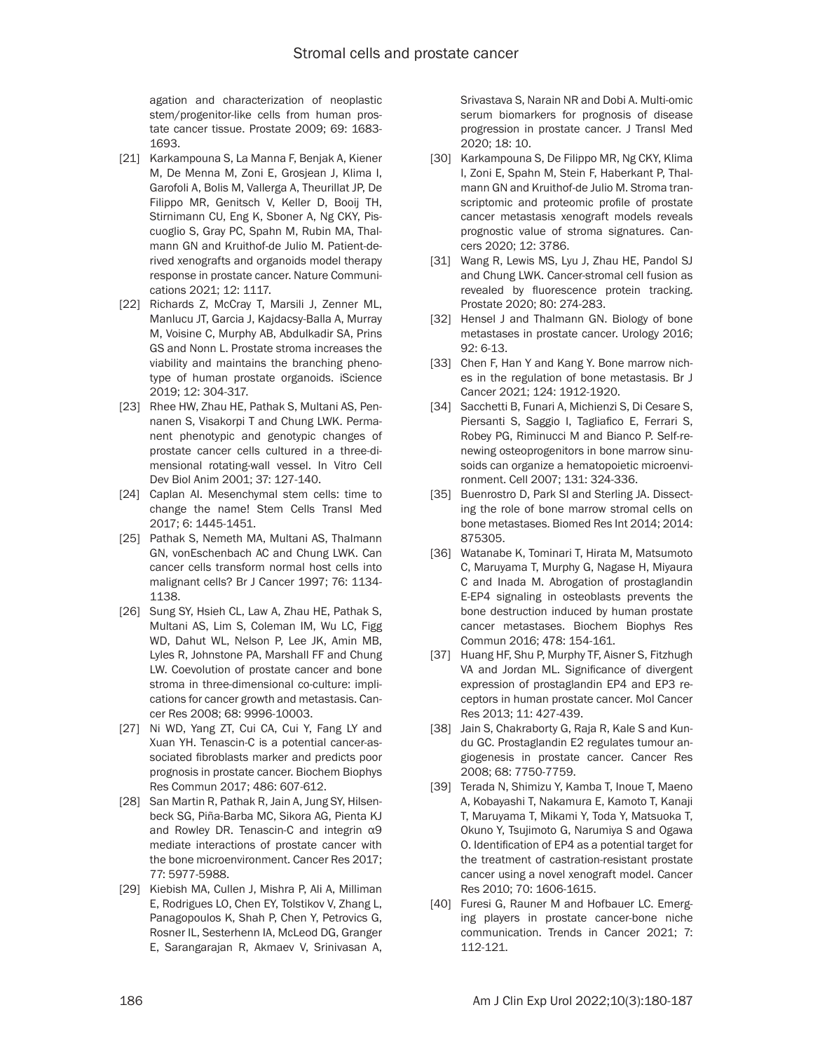agation and characterization of neoplastic stem/progenitor-like cells from human prostate cancer tissue. Prostate 2009; 69: 1683- 1693.

- [21] Karkampouna S, La Manna F, Benjak A, Kiener M, De Menna M, Zoni E, Grosjean J, Klima I, Garofoli A, Bolis M, Vallerga A, Theurillat JP, De Filippo MR, Genitsch V, Keller D, Booij TH, Stirnimann CU, Eng K, Sboner A, Ng CKY, Piscuoglio S, Gray PC, Spahn M, Rubin MA, Thalmann GN and Kruithof-de Julio M. Patient-derived xenografts and organoids model therapy response in prostate cancer. Nature Communications 2021; 12: 1117.
- [22] Richards Z, McCray T, Marsili J, Zenner ML, Manlucu JT, Garcia J, Kajdacsy-Balla A, Murray M, Voisine C, Murphy AB, Abdulkadir SA, Prins GS and Nonn L. Prostate stroma increases the viability and maintains the branching phenotype of human prostate organoids. iScience 2019; 12: 304-317.
- [23] Rhee HW, Zhau HE, Pathak S, Multani AS, Pennanen S, Visakorpi T and Chung LWK. Permanent phenotypic and genotypic changes of prostate cancer cells cultured in a three-dimensional rotating-wall vessel. In Vitro Cell Dev Biol Anim 2001; 37: 127-140.
- [24] Caplan AI. Mesenchymal stem cells: time to change the name! Stem Cells Transl Med 2017; 6: 1445-1451.
- [25] Pathak S, Nemeth MA, Multani AS, Thalmann GN, vonEschenbach AC and Chung LWK. Can cancer cells transform normal host cells into malignant cells? Br J Cancer 1997; 76: 1134- 1138.
- [26] Sung SY, Hsieh CL, Law A, Zhau HE, Pathak S, Multani AS, Lim S, Coleman IM, Wu LC, Figg WD, Dahut WL, Nelson P, Lee JK, Amin MB, Lyles R, Johnstone PA, Marshall FF and Chung LW. Coevolution of prostate cancer and bone stroma in three-dimensional co-culture: implications for cancer growth and metastasis. Cancer Res 2008; 68: 9996-10003.
- [27] Ni WD, Yang ZT, Cui CA, Cui Y, Fang LY and Xuan YH. Tenascin-C is a potential cancer-associated fibroblasts marker and predicts poor prognosis in prostate cancer. Biochem Biophys Res Commun 2017; 486: 607-612.
- [28] San Martin R, Pathak R, Jain A, Jung SY, Hilsenbeck SG, Piña-Barba MC, Sikora AG, Pienta KJ and Rowley DR. Tenascin-C and integrin α9 mediate interactions of prostate cancer with the bone microenvironment. Cancer Res 2017; 77: 5977-5988.
- [29] Kiebish MA, Cullen J, Mishra P, Ali A, Milliman E, Rodrigues LO, Chen EY, Tolstikov V, Zhang L, Panagopoulos K, Shah P, Chen Y, Petrovics G, Rosner IL, Sesterhenn IA, McLeod DG, Granger E, Sarangarajan R, Akmaev V, Srinivasan A,

Srivastava S, Narain NR and Dobi A. Multi-omic serum biomarkers for prognosis of disease progression in prostate cancer. J Transl Med 2020; 18: 10.

- [30] Karkampouna S, De Filippo MR, Ng CKY, Klima I, Zoni E, Spahn M, Stein F, Haberkant P, Thalmann GN and Kruithof-de Julio M. Stroma transcriptomic and proteomic profile of prostate cancer metastasis xenograft models reveals prognostic value of stroma signatures. Cancers 2020; 12: 3786.
- [31] Wang R, Lewis MS, Lyu J, Zhau HE, Pandol SJ and Chung LWK. Cancer-stromal cell fusion as revealed by fluorescence protein tracking. Prostate 2020; 80: 274-283.
- [32] Hensel J and Thalmann GN. Biology of bone metastases in prostate cancer. Urology 2016; 92: 6-13.
- [33] Chen F, Han Y and Kang Y. Bone marrow niches in the regulation of bone metastasis. Br J Cancer 2021; 124: 1912-1920.
- [34] Sacchetti B, Funari A, Michienzi S, Di Cesare S, Piersanti S, Saggio I, Tagliafico E, Ferrari S, Robey PG, Riminucci M and Bianco P. Self-renewing osteoprogenitors in bone marrow sinusoids can organize a hematopoietic microenvironment. Cell 2007; 131: 324-336.
- [35] Buenrostro D, Park SI and Sterling JA. Dissecting the role of bone marrow stromal cells on bone metastases. Biomed Res Int 2014; 2014: 875305.
- [36] Watanabe K, Tominari T, Hirata M, Matsumoto C, Maruyama T, Murphy G, Nagase H, Miyaura C and Inada M. Abrogation of prostaglandin E-EP4 signaling in osteoblasts prevents the bone destruction induced by human prostate cancer metastases. Biochem Biophys Res Commun 2016; 478: 154-161.
- [37] Huang HF, Shu P, Murphy TF, Aisner S, Fitzhugh VA and Jordan ML. Significance of divergent expression of prostaglandin EP4 and EP3 receptors in human prostate cancer. Mol Cancer Res 2013; 11: 427-439.
- [38] Jain S, Chakraborty G, Raja R, Kale S and Kundu GC. Prostaglandin E2 regulates tumour angiogenesis in prostate cancer. Cancer Res 2008; 68: 7750-7759.
- [39] Terada N, Shimizu Y, Kamba T, Inoue T, Maeno A, Kobayashi T, Nakamura E, Kamoto T, Kanaji T, Maruyama T, Mikami Y, Toda Y, Matsuoka T, Okuno Y, Tsujimoto G, Narumiya S and Ogawa O. Identification of EP4 as a potential target for the treatment of castration-resistant prostate cancer using a novel xenograft model. Cancer Res 2010; 70: 1606-1615.
- [40] Furesi G, Rauner M and Hofbauer LC. Emerging players in prostate cancer-bone niche communication. Trends in Cancer 2021; 7: 112-121.